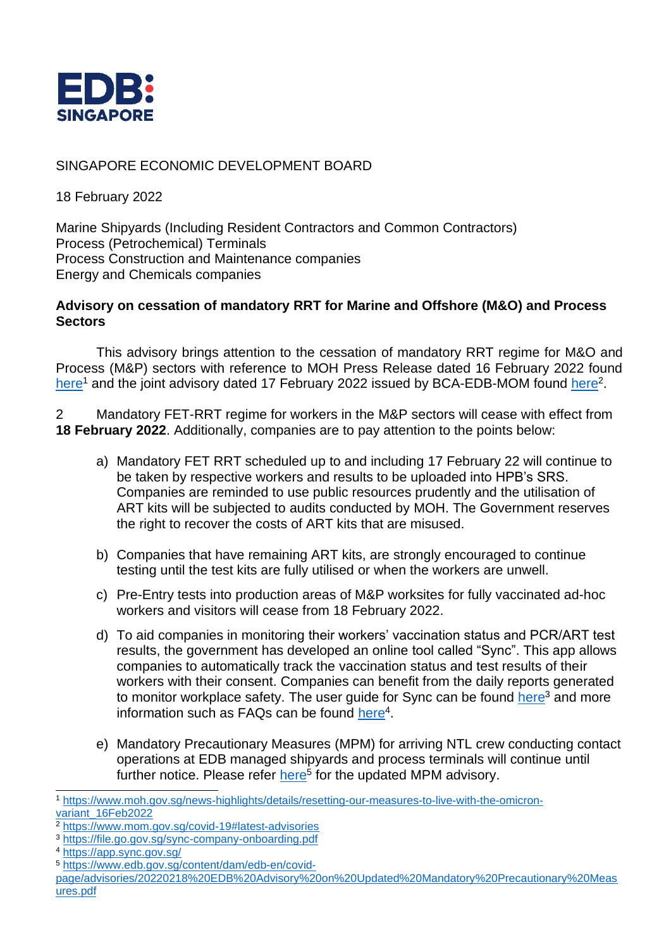

## SINGAPORE ECONOMIC DEVELOPMENT BOARD

18 February 2022

Marine Shipyards (Including Resident Contractors and Common Contractors) Process (Petrochemical) Terminals Process Construction and Maintenance companies Energy and Chemicals companies

## **Advisory on cessation of mandatory RRT for Marine and Offshore (M&O) and Process Sectors**

This advisory brings attention to the cessation of mandatory RRT regime for M&O and Process (M&P) sectors with reference to MOH Press Release dated 16 February 2022 found [here](https://www.moh.gov.sg/news-highlights/details/resetting-our-measures-to-live-with-the-omicron-variant_16Feb2022)<sup>1</sup> and the joint advisory dated 17 February 2022 issued by BCA-EDB-MOM found [here](https://www.mom.gov.sg/covid-19#latest-advisories)<sup>2</sup>.

2 Mandatory FET-RRT regime for workers in the M&P sectors will cease with effect from **18 February 2022**. Additionally, companies are to pay attention to the points below:

- a) Mandatory FET RRT scheduled up to and including 17 February 22 will continue to be taken by respective workers and results to be uploaded into HPB's SRS. Companies are reminded to use public resources prudently and the utilisation of ART kits will be subjected to audits conducted by MOH. The Government reserves the right to recover the costs of ART kits that are misused.
- b) Companies that have remaining ART kits, are strongly encouraged to continue testing until the test kits are fully utilised or when the workers are unwell.
- c) Pre-Entry tests into production areas of M&P worksites for fully vaccinated ad-hoc workers and visitors will cease from 18 February 2022.
- d) To aid companies in monitoring their workers' vaccination status and PCR/ART test results, the government has developed an online tool called "Sync". This app allows companies to automatically track the vaccination status and test results of their workers with their consent. Companies can benefit from the daily reports generated to monitor workplace safety. The user quide for Sync can be found [here](https://file.go.gov.sg/sync-company-onboarding.pdf)<sup>3</sup> and more information such as FAQs can be found [here](https://app.sync.gov.sg/)<sup>4</sup>.
- e) Mandatory Precautionary Measures (MPM) for arriving NTL crew conducting contact operations at EDB managed shipyards and process terminals will continue until further notice. Please refer [here](https://www.edb.gov.sg/content/dam/edb-en/covid-page/advisories/20220218%20EDB%20Advisory%20on%20Updated%20Mandatory%20Precautionary%20Measures.pdf)<sup>5</sup> for the updated MPM advisory.

<sup>5</sup> [https://www.edb.gov.sg/content/dam/edb-en/covid-](https://www.edb.gov.sg/content/dam/edb-en/covid-page/advisories/20220218%20EDB%20Advisory%20on%20Updated%20Mandatory%20Precautionary%20Measures.pdf)

<sup>1</sup> [https://www.moh.gov.sg/news-highlights/details/resetting-our-measures-to-live-with-the-omicron](https://www.moh.gov.sg/news-highlights/details/resetting-our-measures-to-live-with-the-omicron-variant_16Feb2022)[variant\\_16Feb2022](https://www.moh.gov.sg/news-highlights/details/resetting-our-measures-to-live-with-the-omicron-variant_16Feb2022)

<sup>2</sup> <https://www.mom.gov.sg/covid-19#latest-advisories>

<sup>3</sup> <https://file.go.gov.sg/sync-company-onboarding.pdf>

<sup>4</sup> <https://app.sync.gov.sg/>

[page/advisories/20220218%20EDB%20Advisory%20on%20Updated%20Mandatory%20Precautionary%20Meas](https://www.edb.gov.sg/content/dam/edb-en/covid-page/advisories/20220218%20EDB%20Advisory%20on%20Updated%20Mandatory%20Precautionary%20Measures.pdf) [ures.pdf](https://www.edb.gov.sg/content/dam/edb-en/covid-page/advisories/20220218%20EDB%20Advisory%20on%20Updated%20Mandatory%20Precautionary%20Measures.pdf)